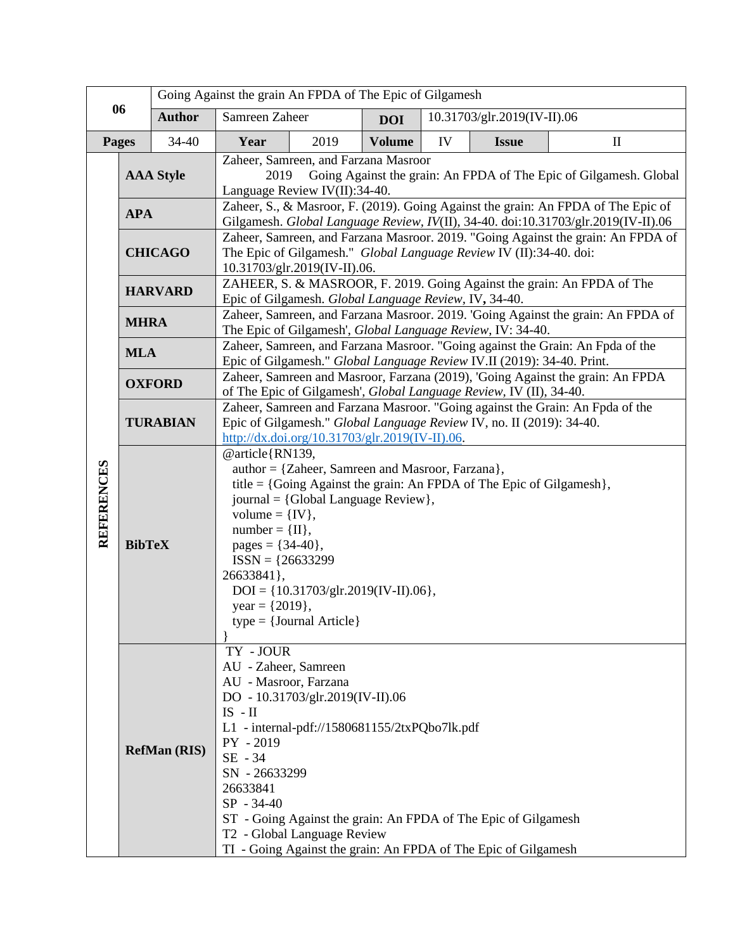| 06                |                                                                                                                                                                                                                                                                                                                                                                                                                     | Going Against the grain An FPDA of The Epic of Gilgamesh                                                                                                                                                                                                                                                                                                                                                                      |                                                                                                                                                                                                                                                                |      |               |    |                             |              |  |
|-------------------|---------------------------------------------------------------------------------------------------------------------------------------------------------------------------------------------------------------------------------------------------------------------------------------------------------------------------------------------------------------------------------------------------------------------|-------------------------------------------------------------------------------------------------------------------------------------------------------------------------------------------------------------------------------------------------------------------------------------------------------------------------------------------------------------------------------------------------------------------------------|----------------------------------------------------------------------------------------------------------------------------------------------------------------------------------------------------------------------------------------------------------------|------|---------------|----|-----------------------------|--------------|--|
|                   |                                                                                                                                                                                                                                                                                                                                                                                                                     | <b>Author</b>                                                                                                                                                                                                                                                                                                                                                                                                                 | Samreen Zaheer                                                                                                                                                                                                                                                 |      | <b>DOI</b>    |    | 10.31703/glr.2019(IV-II).06 |              |  |
| Pages             |                                                                                                                                                                                                                                                                                                                                                                                                                     | 34-40                                                                                                                                                                                                                                                                                                                                                                                                                         | Year                                                                                                                                                                                                                                                           | 2019 | <b>Volume</b> | IV | <b>Issue</b>                | $\mathbf{I}$ |  |
|                   | <b>AAA Style</b>                                                                                                                                                                                                                                                                                                                                                                                                    |                                                                                                                                                                                                                                                                                                                                                                                                                               | Zaheer, Samreen, and Farzana Masroor<br>Going Against the grain: An FPDA of The Epic of Gilgamesh. Global<br>2019<br>Language Review IV(II):34-40.                                                                                                             |      |               |    |                             |              |  |
|                   | <b>APA</b>                                                                                                                                                                                                                                                                                                                                                                                                          |                                                                                                                                                                                                                                                                                                                                                                                                                               | Zaheer, S., & Masroor, F. (2019). Going Against the grain: An FPDA of The Epic of<br>Gilgamesh. Global Language Review, IV(II), 34-40. doi:10.31703/glr.2019(IV-II).06                                                                                         |      |               |    |                             |              |  |
|                   | <b>CHICAGO</b>                                                                                                                                                                                                                                                                                                                                                                                                      |                                                                                                                                                                                                                                                                                                                                                                                                                               | Zaheer, Samreen, and Farzana Masroor. 2019. "Going Against the grain: An FPDA of<br>The Epic of Gilgamesh." Global Language Review IV (II):34-40. doi:<br>10.31703/glr.2019(IV-II).06.                                                                         |      |               |    |                             |              |  |
| <b>REFERENCES</b> | <b>HARVARD</b>                                                                                                                                                                                                                                                                                                                                                                                                      |                                                                                                                                                                                                                                                                                                                                                                                                                               | ZAHEER, S. & MASROOR, F. 2019. Going Against the grain: An FPDA of The<br>Epic of Gilgamesh. Global Language Review, IV, 34-40.                                                                                                                                |      |               |    |                             |              |  |
|                   | <b>MHRA</b>                                                                                                                                                                                                                                                                                                                                                                                                         |                                                                                                                                                                                                                                                                                                                                                                                                                               | Zaheer, Samreen, and Farzana Masroor. 2019. 'Going Against the grain: An FPDA of<br>The Epic of Gilgamesh', Global Language Review, IV: 34-40.                                                                                                                 |      |               |    |                             |              |  |
|                   | <b>MLA</b>                                                                                                                                                                                                                                                                                                                                                                                                          |                                                                                                                                                                                                                                                                                                                                                                                                                               | Zaheer, Samreen, and Farzana Masroor. "Going against the Grain: An Fpda of the<br>Epic of Gilgamesh." Global Language Review IV.II (2019): 34-40. Print.                                                                                                       |      |               |    |                             |              |  |
|                   | <b>OXFORD</b>                                                                                                                                                                                                                                                                                                                                                                                                       |                                                                                                                                                                                                                                                                                                                                                                                                                               | Zaheer, Samreen and Masroor, Farzana (2019), 'Going Against the grain: An FPDA<br>of The Epic of Gilgamesh', Global Language Review, IV (II), 34-40.                                                                                                           |      |               |    |                             |              |  |
|                   | <b>TURABIAN</b>                                                                                                                                                                                                                                                                                                                                                                                                     |                                                                                                                                                                                                                                                                                                                                                                                                                               | Zaheer, Samreen and Farzana Masroor. "Going against the Grain: An Fpda of the<br>Epic of Gilgamesh." Global Language Review IV, no. II (2019): 34-40.<br>$\frac{http://dx.doi.org/10.31703/glr.2019(IV-II).06}{http://dx.doi.org/10.31703/glr.2019(IV-II).06}$ |      |               |    |                             |              |  |
|                   | @article{RN139,<br>author = ${Zaheer, Samreen and Masroor, Farzana}$ ,<br>title = {Going Against the grain: An FPDA of The Epic of Gilgamesh},<br>journal = {Global Language Review},<br>volume = $\{IV\},\$<br>$number = \{II\},\$<br><b>BibTeX</b><br>pages = $\{34-40\},\$<br>$ISSN = {26633299}$<br>26633841},<br>$DOI = \{10.31703/glr.2019(IV-II).06\},\$<br>$year = \{2019\},$<br>$type = {Journal Article}$ |                                                                                                                                                                                                                                                                                                                                                                                                                               |                                                                                                                                                                                                                                                                |      |               |    |                             |              |  |
|                   |                                                                                                                                                                                                                                                                                                                                                                                                                     | TY - JOUR<br>AU - Zaheer, Samreen<br>AU - Masroor, Farzana<br>DO - 10.31703/glr.2019(IV-II).06<br>$IS$ - $II$<br>L1 - internal-pdf://1580681155/2txPQbo7lk.pdf<br>PY - 2019<br><b>RefMan</b> (RIS)<br>SE - 34<br>SN - 26633299<br>26633841<br>$SP - 34-40$<br>ST - Going Against the grain: An FPDA of The Epic of Gilgamesh<br>T2 - Global Language Review<br>TI - Going Against the grain: An FPDA of The Epic of Gilgamesh |                                                                                                                                                                                                                                                                |      |               |    |                             |              |  |